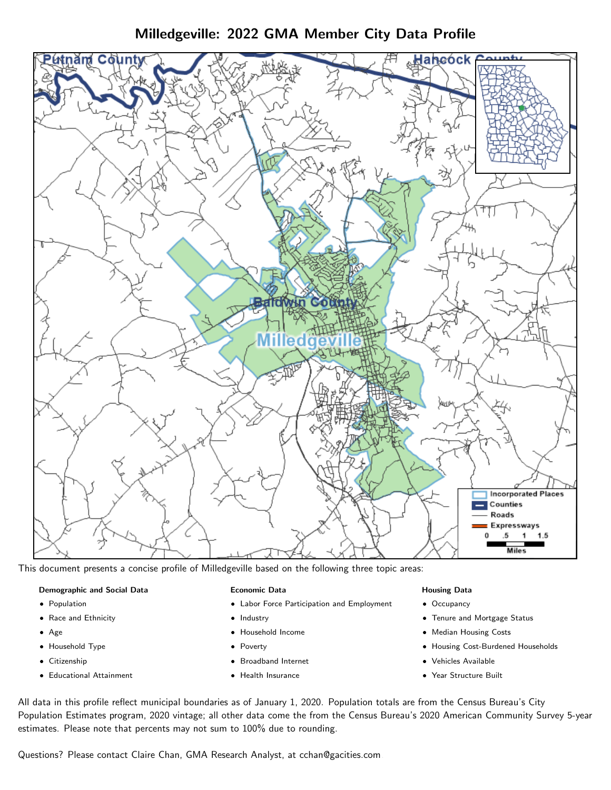Milledgeville: 2022 GMA Member City Data Profile



This document presents a concise profile of Milledgeville based on the following three topic areas:

# Demographic and Social Data

- **•** Population
- Race and Ethnicity
- Age
- Household Type
- **Citizenship**
- Educational Attainment

## Economic Data

- Labor Force Participation and Employment
- Industry
- Household Income
- Poverty
- Broadband Internet
- Health Insurance

## Housing Data

- Occupancy
- Tenure and Mortgage Status
- Median Housing Costs
- Housing Cost-Burdened Households
- Vehicles Available
- Year Structure Built

All data in this profile reflect municipal boundaries as of January 1, 2020. Population totals are from the Census Bureau's City Population Estimates program, 2020 vintage; all other data come the from the Census Bureau's 2020 American Community Survey 5-year estimates. Please note that percents may not sum to 100% due to rounding.

Questions? Please contact Claire Chan, GMA Research Analyst, at [cchan@gacities.com.](mailto:cchan@gacities.com)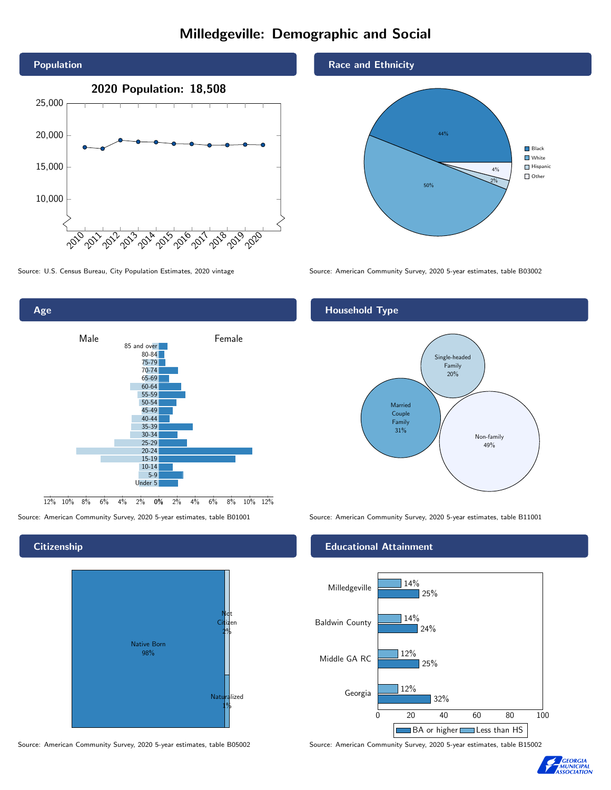# Milledgeville: Demographic and Social





**Citizenship** 



Source: American Community Survey, 2020 5-year estimates, table B05002 Source: American Community Survey, 2020 5-year estimates, table B15002

# Race and Ethnicity



Source: U.S. Census Bureau, City Population Estimates, 2020 vintage Source: American Community Survey, 2020 5-year estimates, table B03002

# Household Type



Source: American Community Survey, 2020 5-year estimates, table B01001 Source: American Community Survey, 2020 5-year estimates, table B11001

## Educational Attainment



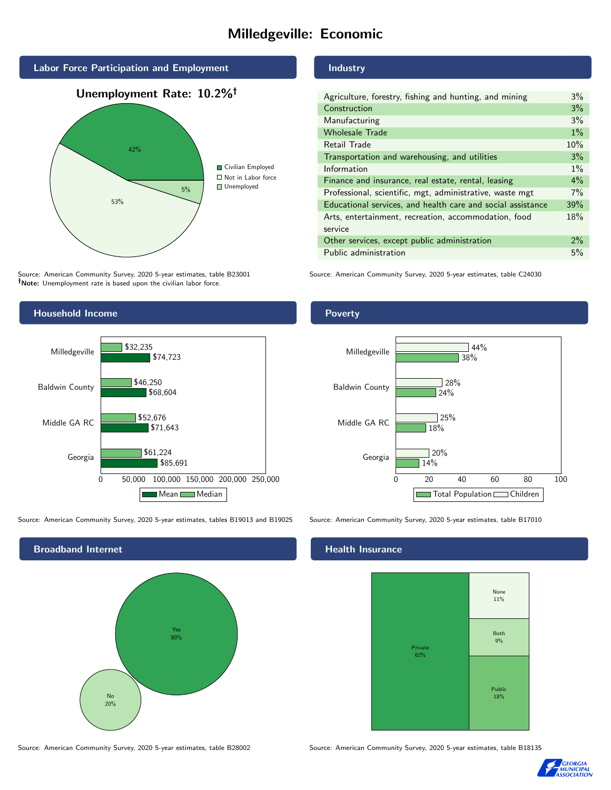# Milledgeville: Economic



Source: American Community Survey, 2020 5-year estimates, table B23001 Note: Unemployment rate is based upon the civilian labor force.

### Industry

| Agriculture, forestry, fishing and hunting, and mining      | $3\%$ |
|-------------------------------------------------------------|-------|
| Construction                                                | 3%    |
| Manufacturing                                               | 3%    |
| <b>Wholesale Trade</b>                                      | $1\%$ |
| Retail Trade                                                | 10%   |
| Transportation and warehousing, and utilities               | 3%    |
| Information                                                 | $1\%$ |
| Finance and insurance, real estate, rental, leasing         | $4\%$ |
| Professional, scientific, mgt, administrative, waste mgt    | 7%    |
| Educational services, and health care and social assistance | 39%   |
| Arts, entertainment, recreation, accommodation, food        | 18%   |
| service                                                     |       |
| Other services, except public administration                | $2\%$ |
| Public administration                                       | 5%    |
|                                                             |       |

Source: American Community Survey, 2020 5-year estimates, table C24030



Source: American Community Survey, 2020 5-year estimates, tables B19013 and B19025 Source: American Community Survey, 2020 5-year estimates, table B17010

Broadband Internet No 20% Yes 80%

### Health Insurance



Source: American Community Survey, 2020 5-year estimates, table B28002 Source: American Community Survey, 2020 5-year estimates, table B18135